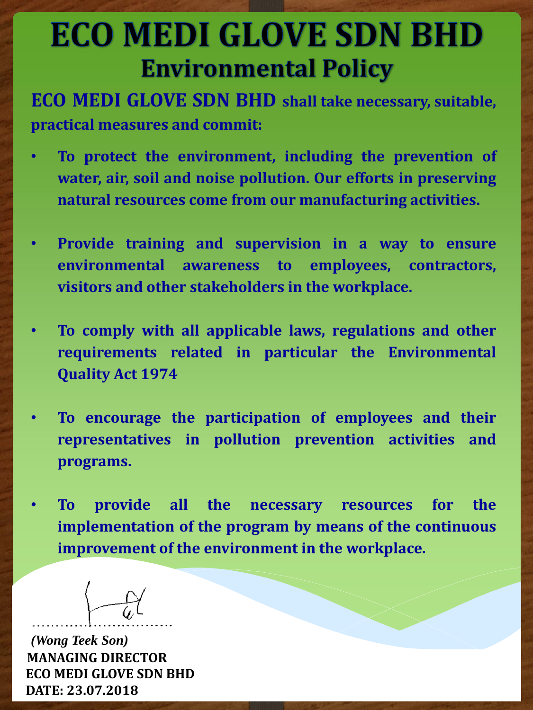## **ECO MEDI GLOVE SDN BHD Environmental Policy**

**ECO MEDI GLOVE SDN BHD shall take necessary, suitable, practical measures and commit:**

- **To protect the environment, including the prevention of water, air, soil and noise pollution. Our efforts in preserving natural resources come from our manufacturing activities.**
- **Provide training and supervision in a way to ensure environmental awareness to employees, contractors, visitors and other stakeholders in the workplace.**
- **To comply with all applicable laws, regulations and other requirements related in particular the Environmental Quality Act 1974**
- **To encourage the participation of employees and their representatives in pollution prevention activities and programs.**
- **To provide all the necessary resources for the implementation of the program by means of the continuous improvement of the environment in the workplace.**

*(Wong Teek Son)* **MANAGING DIRECTOR ECO MEDI GLOVE SDN BHD DATE: 23.07.2018**